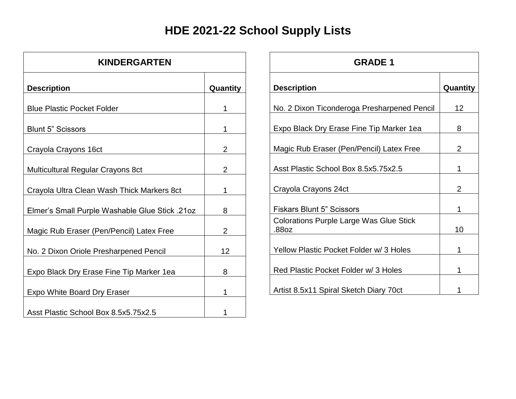## **HDE 2021-22 School Supply Lists**

| <b>KINDERGARTEN</b>                            |                |
|------------------------------------------------|----------------|
| <b>Description</b>                             | Quantity       |
| <b>Blue Plastic Pocket Folder</b>              | 1              |
| <b>Blunt 5" Scissors</b>                       | 1              |
| Crayola Crayons 16ct                           | 2              |
| Multicultural Regular Crayons 8ct              | $\overline{2}$ |
| Crayola Ultra Clean Wash Thick Markers 8ct     | 1              |
| Elmer's Small Purple Washable Glue Stick .21oz | 8              |
| Magic Rub Eraser (Pen/Pencil) Latex Free       | 2              |
| No. 2 Dixon Oriole Presharpened Pencil         | 12             |
| Expo Black Dry Erase Fine Tip Marker 1ea       | 8              |
| <b>Expo White Board Dry Eraser</b>             | 1              |
| Asst Plastic School Box 8.5x5.75x2.5           | 1              |

| <b>GRADE 1</b>                                          |                |
|---------------------------------------------------------|----------------|
| <b>Description</b>                                      | Quantity       |
| No. 2 Dixon Ticonderoga Presharpened Pencil             | 12             |
| Expo Black Dry Erase Fine Tip Marker 1ea                | 8              |
| Magic Rub Eraser (Pen/Pencil) Latex Free                | $\overline{2}$ |
| Asst Plastic School Box 8.5x5.75x2.5                    | 1              |
| Crayola Crayons 24ct                                    | $\overline{2}$ |
| <b>Fiskars Blunt 5" Scissors</b>                        | 1              |
| <b>Colorations Purple Large Was Glue Stick</b><br>.88oz | 10             |
| Yellow Plastic Pocket Folder w/ 3 Holes                 | 1              |
| Red Plastic Pocket Folder w/ 3 Holes                    |                |
| Artist 8.5x11 Spiral Sketch Diary 70ct                  |                |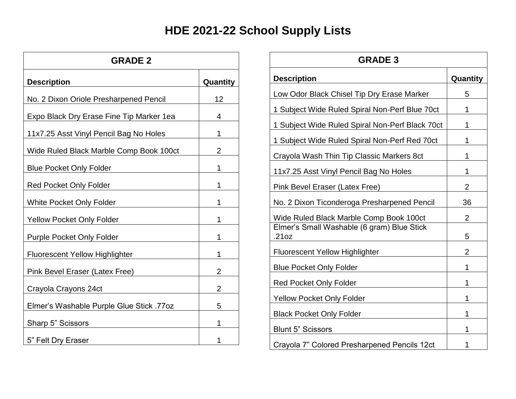## **HDE 2021-22 School Supply Lists**

| <b>GRADE 2</b>                           |          |
|------------------------------------------|----------|
| <b>Description</b>                       | Quantity |
| No. 2 Dixon Oriole Presharpened Pencil   | 12       |
| Expo Black Dry Erase Fine Tip Marker 1ea | 4        |
| 11x7.25 Asst Vinyl Pencil Bag No Holes   | 1        |
| Wide Ruled Black Marble Comp Book 100ct  | 2        |
| <b>Blue Pocket Only Folder</b>           | 1        |
| <b>Red Pocket Only Folder</b>            | 1        |
| <b>White Pocket Only Folder</b>          | 1        |
| <b>Yellow Pocket Only Folder</b>         | 1        |
| <b>Purple Pocket Only Folder</b>         | 1        |
| <b>Fluorescent Yellow Highlighter</b>    | 1        |
| Pink Bevel Eraser (Latex Free)           | 2        |
| Crayola Crayons 24ct                     | 2        |
| Elmer's Washable Purple Glue Stick .77oz | 5        |
| Sharp 5" Scissors                        | 1        |
| 5" Felt Dry Eraser                       | 1        |

| <b>GRADE 3</b>                                      |                |  |
|-----------------------------------------------------|----------------|--|
| <b>Description</b>                                  | Quantity       |  |
| Low Odor Black Chisel Tip Dry Erase Marker          | 5              |  |
| 1 Subject Wide Ruled Spiral Non-Perf Blue 70ct      | 1              |  |
| 1 Subject Wide Ruled Spiral Non-Perf Black 70ct     | 1              |  |
| 1 Subject Wide Ruled Spiral Non-Perf Red 70ct       | 1              |  |
| Crayola Wash Thin Tip Classic Markers 8ct           | 1              |  |
| 11x7.25 Asst Vinyl Pencil Bag No Holes              | 1              |  |
| Pink Bevel Eraser (Latex Free)                      | $\overline{2}$ |  |
| No. 2 Dixon Ticonderoga Presharpened Pencil         | 36             |  |
| Wide Ruled Black Marble Comp Book 100ct             | $\overline{2}$ |  |
| Elmer's Small Washable (6 gram) Blue Stick<br>.21oz | 5              |  |
| <b>Fluorescent Yellow Highlighter</b>               | $\overline{2}$ |  |
| <b>Blue Pocket Only Folder</b>                      | 1              |  |
| <b>Red Pocket Only Folder</b>                       | 1              |  |
| <b>Yellow Pocket Only Folder</b>                    | 1              |  |
| <b>Black Pocket Only Folder</b>                     | 1              |  |
| <b>Blunt 5" Scissors</b>                            | 1              |  |
| Crayola 7" Colored Presharpened Pencils 12ct        | 1              |  |